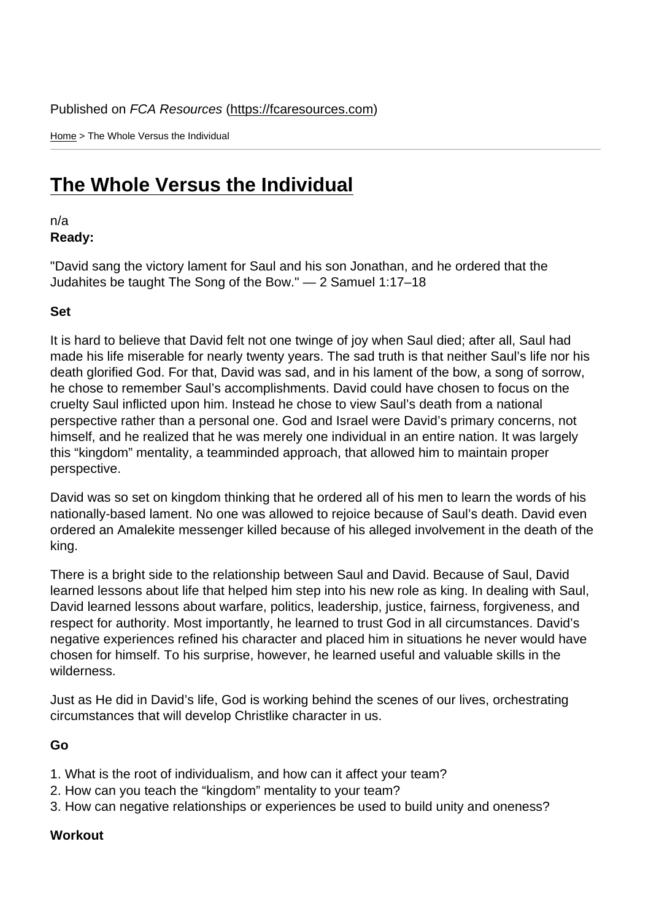Home > The Whole Versus the Individual

## [The](https://fcaresources.com/) Whole Versus the Individual

n/a [Ready:](https://fcaresources.com/devotional/whole-versus-individual) 

"David sang the victory lament for Saul and his son Jonathan, and he ordered that the Judahites be taught The Song of the Bow." — 2 Samuel 1:17–18

Set

It is hard to believe that David felt not one twinge of joy when Saul died; after all, Saul had made his life miserable for nearly twenty years. The sad truth is that neither Saul's life nor his death glorified God. For that, David was sad, and in his lament of the bow, a song of sorrow, he chose to remember Saul's accomplishments. David could have chosen to focus on the cruelty Saul inflicted upon him. Instead he chose to view Saul's death from a national perspective rather than a personal one. God and Israel were David's primary concerns, not himself, and he realized that he was merely one individual in an entire nation. It was largely this "kingdom" mentality, a teamminded approach, that allowed him to maintain proper perspective.

David was so set on kingdom thinking that he ordered all of his men to learn the words of his nationally-based lament. No one was allowed to rejoice because of Saul's death. David even ordered an Amalekite messenger killed because of his alleged involvement in the death of the king.

There is a bright side to the relationship between Saul and David. Because of Saul, David learned lessons about life that helped him step into his new role as king. In dealing with Saul, David learned lessons about warfare, politics, leadership, justice, fairness, forgiveness, and respect for authority. Most importantly, he learned to trust God in all circumstances. David's negative experiences refined his character and placed him in situations he never would have chosen for himself. To his surprise, however, he learned useful and valuable skills in the wilderness.

Just as He did in David's life, God is working behind the scenes of our lives, orchestrating circumstances that will develop Christlike character in us.

Go

- 1. What is the root of individualism, and how can it affect your team?
- 2. How can you teach the "kingdom" mentality to your team?
- 3. How can negative relationships or experiences be used to build unity and oneness?

**Workout**